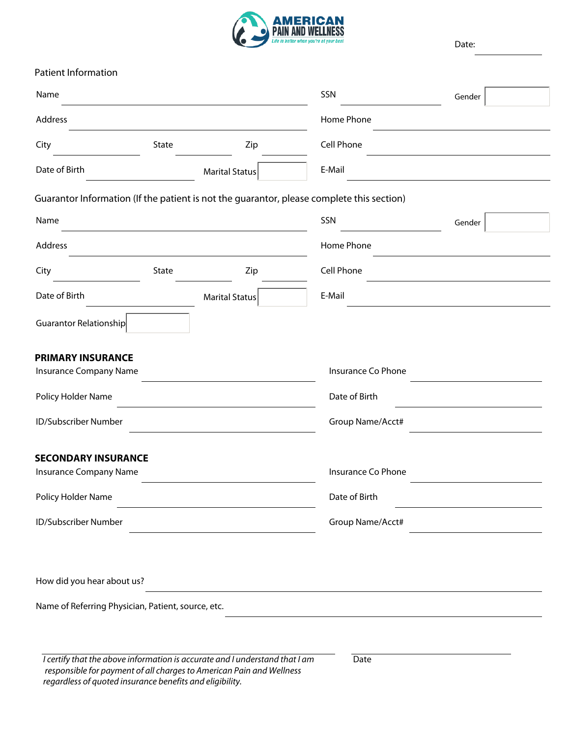

Date:

| Patient Information                                |       |                       |                                                                                           |        |   |
|----------------------------------------------------|-------|-----------------------|-------------------------------------------------------------------------------------------|--------|---|
| Name                                               |       |                       | SSN                                                                                       | Gender |   |
| Address                                            |       |                       | Home Phone                                                                                |        |   |
| City                                               | State | Zip                   | Cell Phone                                                                                |        |   |
| Date of Birth                                      |       | <b>Marital Status</b> | E-Mail                                                                                    |        |   |
|                                                    |       |                       | Guarantor Information (If the patient is not the guarantor, please complete this section) |        |   |
| Name                                               |       |                       | SSN                                                                                       | Gender | ▼ |
| Address                                            |       |                       | Home Phone                                                                                |        |   |
| City                                               | State | Zip                   | Cell Phone                                                                                |        |   |
| Date of Birth                                      |       | <b>Marital Status</b> | E-Mail<br>$\blacktriangledown$                                                            |        |   |
| Guarantor Relationship                             |       |                       |                                                                                           |        |   |
| <b>PRIMARY INSURANCE</b>                           |       |                       | Insurance Co Phone                                                                        |        |   |
| Insurance Company Name                             |       |                       |                                                                                           |        |   |
| Policy Holder Name                                 |       |                       | Date of Birth                                                                             |        |   |
| ID/Subscriber Number                               |       |                       | Group Name/Acct#                                                                          |        |   |
| <b>SECONDARY INSURANCE</b>                         |       |                       |                                                                                           |        |   |
| Insurance Company Name                             |       |                       | Insurance Co Phone                                                                        |        |   |
| Policy Holder Name                                 |       |                       | Date of Birth                                                                             |        |   |
| ID/Subscriber Number                               |       |                       | Group Name/Acct#                                                                          |        |   |
|                                                    |       |                       |                                                                                           |        |   |
| How did you hear about us?                         |       |                       |                                                                                           |        |   |
| Name of Referring Physician, Patient, source, etc. |       |                       |                                                                                           |        |   |
|                                                    |       |                       |                                                                                           |        |   |
|                                                    |       |                       |                                                                                           |        |   |

*I certify that the above information is accurate and I understand that I am responsible for payment of all charges to American Pain and Wellness regardless of quoted insurance benefits and eligibility.* 

Date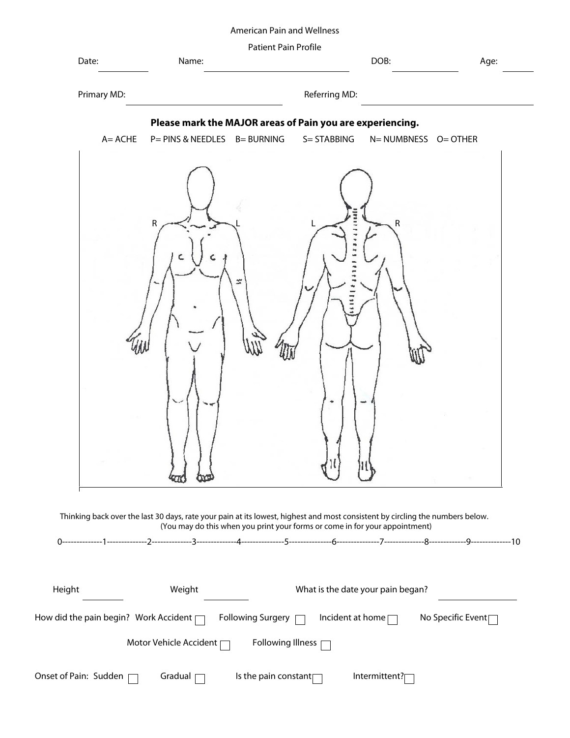### American Pain and Wellness

| Date:                   | Name:                                                                                                                              | Patient Pain Profile |                         | DOB:                              | Age:                           |
|-------------------------|------------------------------------------------------------------------------------------------------------------------------------|----------------------|-------------------------|-----------------------------------|--------------------------------|
| Primary MD:             |                                                                                                                                    |                      | Referring MD:           |                                   |                                |
|                         | Please mark the MAJOR areas of Pain you are experiencing.                                                                          |                      |                         |                                   |                                |
| $A = ACHE$              | P= PINS & NEEDLES                                                                                                                  | <b>B= BURNING</b>    | S= STABBING             | N= NUMBNESS O= OTHER              |                                |
|                         | R<br>Thinking back over the last 30 days, rate your pain at its lowest, highest and most consistent by circling the numbers below. |                      |                         | ${\sf R}$                         |                                |
|                         | (You may do this when you print your forms or come in for your appointment)                                                        |                      |                         |                                   |                                |
|                         |                                                                                                                                    |                      |                         |                                   |                                |
| Height                  | Weight                                                                                                                             |                      |                         | What is the date your pain began? |                                |
|                         | How did the pain begin? Work Accident $\Box$                                                                                       | Following Surgery    | Incident at home $\Box$ |                                   | No Specific Event <sub>[</sub> |
|                         | Motor Vehicle Accident                                                                                                             | Following Illness [  |                         |                                   |                                |
| Onset of Pain: Sudden ⊺ | Gradual                                                                                                                            | Is the pain constant |                         | Intermittent?                     |                                |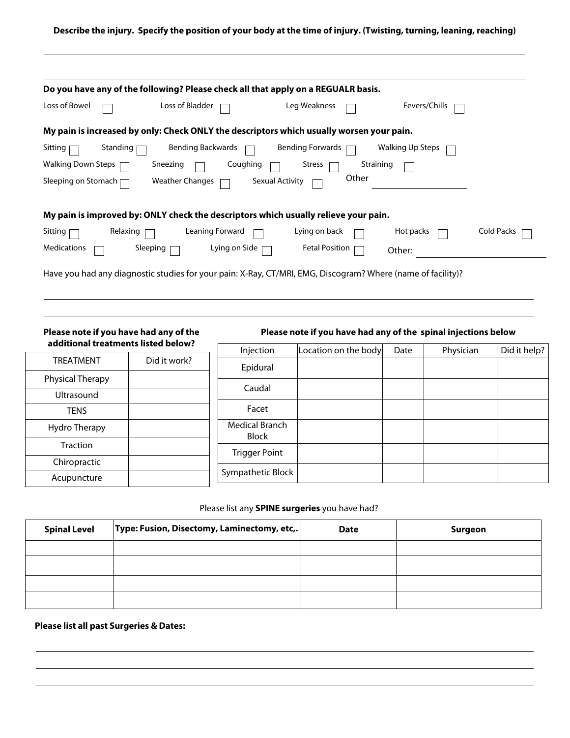#### **Describe the injury. Specify the position of your body at the time of injury. (Twisting, turning, leaning, reaching)**

| Do you have any of the following? Please check all that apply on a REGUALR basis.                           |                   |
|-------------------------------------------------------------------------------------------------------------|-------------------|
| Loss of Bowel<br>Loss of Bladder<br>Leg Weakness<br>Fevers/Chills                                           |                   |
| My pain is increased by only: Check ONLY the descriptors which usually worsen your pain.                    |                   |
| Standing<br>Bending Backwards<br><b>Bending Forwards</b><br>Walking Up Steps<br>Sitting                     |                   |
| Walking Down Steps [<br>Coughing<br>Sneezing<br>Straining<br>Stress                                         |                   |
| Other<br><b>Weather Changes</b><br>Sexual Activity<br>Sleeping on Stomach [                                 |                   |
| My pain is improved by: ONLY check the descriptors which usually relieve your pain.                         |                   |
| Sitting<br>Relaxing<br>Leaning Forward<br>Lying on back<br>Hot packs                                        | <b>Cold Packs</b> |
| <b>Medications</b><br><b>Fetal Position</b><br>Sleeping<br>Lying on Side $\lceil$<br>Other:                 |                   |
| Have you had any diagnostic studies for your pain: X-Ray, CT/MRI, EMG, Discogram? Where (name of facility)? |                   |

**Please note if you have had any of the additional treatments listed below?**

**Please note if you have had any of the spinal injections below**

| additional treatments listed below? |              | Injection               | Location on the body | Date | Physician | Did it help? |
|-------------------------------------|--------------|-------------------------|----------------------|------|-----------|--------------|
| <b>TREATMENT</b>                    | Did it work? | Epidural                |                      |      |           |              |
| Physical Therapy                    |              | Caudal                  |                      |      |           |              |
| <b>Ultrasound</b>                   |              |                         |                      |      |           |              |
| <b>TENS</b>                         |              | Facet                   |                      |      |           |              |
| Hydro Therapy                       |              | Medical Branch<br>Block |                      |      |           |              |
| Traction                            |              | <b>Trigger Point</b>    |                      |      |           |              |
| Chiropractic                        |              |                         |                      |      |           |              |
| Acupuncture                         |              | Sympathetic Block       |                      |      |           |              |

# Please list any **SPINE surgeries** you have had?

| <b>Spinal Level</b> | Type: Fusion, Disectomy, Laminectomy, etc,. | <b>Date</b> | Surgeon |
|---------------------|---------------------------------------------|-------------|---------|
|                     |                                             |             |         |
|                     |                                             |             |         |
|                     |                                             |             |         |
|                     |                                             |             |         |

### **Please list all past Surgeries & Dates:**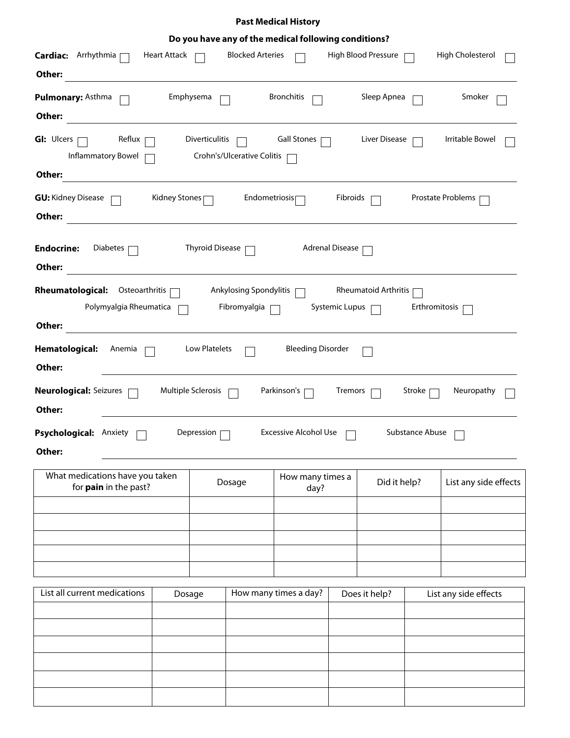## **Past Medical History**

| Do you have any of the medical following conditions?                                              |                                                                                                                                                             |                        |                            |                          |                        |                     |        |                       |
|---------------------------------------------------------------------------------------------------|-------------------------------------------------------------------------------------------------------------------------------------------------------------|------------------------|----------------------------|--------------------------|------------------------|---------------------|--------|-----------------------|
| <b>Cardiac:</b> Arrhythmia                                                                        | <b>Heart Attack</b>                                                                                                                                         |                        | <b>Blocked Arteries</b>    |                          |                        | High Blood Pressure |        | High Cholesterol      |
| Other:                                                                                            |                                                                                                                                                             |                        |                            |                          |                        |                     |        |                       |
| Pulmonary: Asthma                                                                                 | Emphysema                                                                                                                                                   |                        |                            | <b>Bronchitis</b>        |                        | Sleep Apnea         |        | Smoker                |
| Other:                                                                                            |                                                                                                                                                             |                        |                            |                          |                        |                     |        |                       |
| <b>GI: Ulcers</b><br>Reflux<br>Inflammatory Bowel                                                 |                                                                                                                                                             | Diverticulitis         | Crohn's/Ulcerative Colitis | <b>Gall Stones</b>       |                        | Liver Disease       |        | Irritable Bowel       |
| Other:                                                                                            |                                                                                                                                                             |                        |                            |                          |                        |                     |        |                       |
| <b>GU:</b> Kidney Disease<br>Other:                                                               | Kidney Stones                                                                                                                                               |                        | Endometriosis              |                          | Fibroids               |                     |        | Prostate Problems     |
| <b>Endocrine:</b><br>Diabetes<br>Other:                                                           |                                                                                                                                                             | <b>Thyroid Disease</b> |                            |                          | <b>Adrenal Disease</b> |                     |        |                       |
| <b>Rheumatological:</b><br>Other:                                                                 | <b>Ankylosing Spondylitis</b><br><b>Rheumatoid Arthritis</b><br>Osteoarthritis<br>Polymyalgia Rheumatica<br>Fibromyalgia<br>Systemic Lupus<br>Erthromitosis |                        |                            |                          |                        |                     |        |                       |
| Hematological:<br>Anemia<br>Other:                                                                |                                                                                                                                                             | Low Platelets          |                            | <b>Bleeding Disorder</b> |                        |                     |        |                       |
| <b>Neurological: Seizures</b><br>Other:                                                           | Multiple Sclerosis                                                                                                                                          |                        |                            | Parkinson's              | Tremors                |                     | Stroke | Neuropathy            |
| <b>Excessive Alcohol Use</b><br>Substance Abuse<br>Psychological: Anxiety<br>Depression<br>Other: |                                                                                                                                                             |                        |                            |                          |                        |                     |        |                       |
| What medications have you taken<br>for pain in the past?                                          |                                                                                                                                                             |                        | Dosage                     | How many times a<br>day? |                        | Did it help?        |        | List any side effects |
|                                                                                                   |                                                                                                                                                             |                        |                            |                          |                        |                     |        |                       |
|                                                                                                   |                                                                                                                                                             |                        |                            |                          |                        |                     |        |                       |
|                                                                                                   |                                                                                                                                                             |                        |                            |                          |                        |                     |        |                       |
| List all current medications                                                                      |                                                                                                                                                             |                        |                            |                          |                        |                     |        |                       |
|                                                                                                   | Dosage                                                                                                                                                      |                        |                            | How many times a day?    |                        | Does it help?       |        | List any side effects |
|                                                                                                   |                                                                                                                                                             |                        |                            |                          |                        |                     |        |                       |